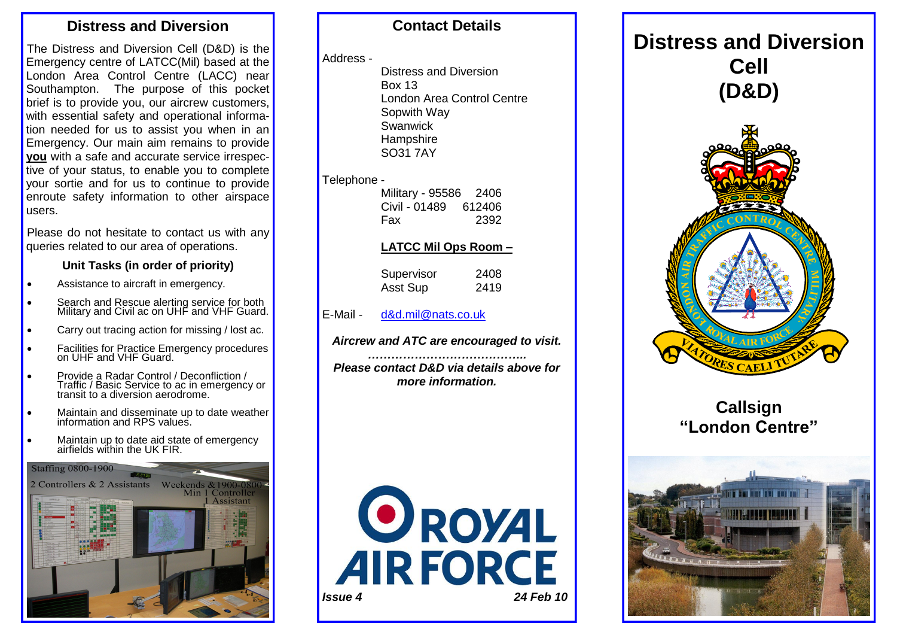## **Distress and Diversion**

The Distress and Diversion Cell (D&D) is the Emergency centre of LATCC(Mil) based at the London Area Control Centre (LACC) near Southampton. The purpose of this pocket brief is to provide you, our aircrew customers, with essential safety and operational information needed for us to assist you when in an Emergency. Our main aim remains to provide **you** with a safe and accurate service irrespective of your status, to enable you to complete your sortie and for us to continue to provide enroute safety information to other airspace users.

Please do not hesitate to contact us with any queries related to our area of operations.

#### **Unit Tasks (in order of priority)**

- Assistance to aircraft in emergency.
- Search and Rescue alerting service for both Military and Civil ac on UHF and VHF Guard.
- Carry out tracing action for missing / lost ac.
- Facilities for Practice Emergency procedures on UHF and VHF Guard.
- Provide a Radar Control / Deconfliction / Traffic / Basic Service to ac in emergency or transit to a diversion aerodrome.
- Maintain and disseminate up to date weather information and RPS values.
- Maintain up to date aid state of emergency airfields within the UK FIR.

**Staffing 0800-1900** 



## **Contact Details**

#### Address -

Distress and Diversion Box 13 London Area Control Centre Sopwith Way Swanwick **Hampshire** SO31 7AY

#### Telephone -

| Military - 95586 2406 |
|-----------------------|
| Civil - 01489 612406  |
| 2392                  |
|                       |

#### **LATCC Mil Ops Room –**

| Supervisor | 2408 |
|------------|------|
| Asst Sup   | 2419 |

- E-Mail [d&d.mil@nats.co.uk](mailto:d&d.mil@nats.co.uk)
- *Aircrew and ATC are encouraged to visit.*

*………………………………….. Please contact D&D via details above for more information.*





# **Callsign "London Centre"**